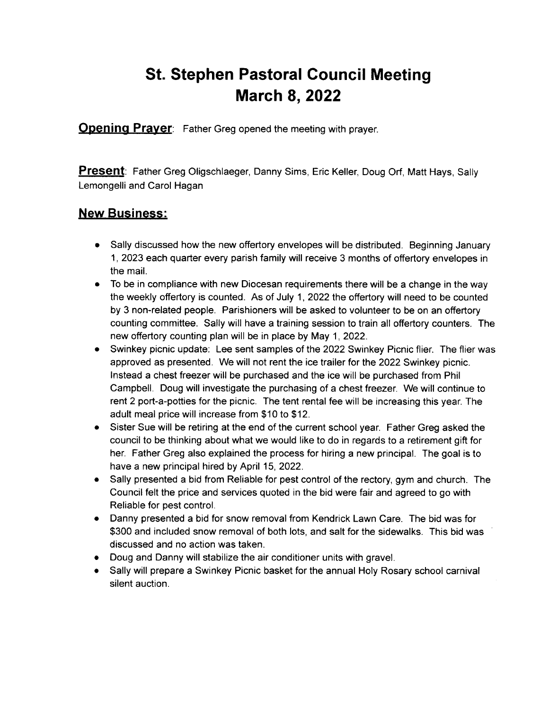## St. Stephen Pastoral Gouncil Meeting **March 8, 2022**

**Opening Prayer**: Father Greg opened the meeting with prayer.

Present: Father Greg Oligschlaeger, Danny Sims, Eric Keller, Doug Orf, Matt Hays, Sally Lemongelli and Carol Hagan

## New Business:

- Sally discussed how the new offertory envelopes will be distributed. Beginning January <sup>1</sup>, 2023 each quarter every parish family will receive 3 months of offertory envelopes in the mail.
- To be in compliance with new Diocesan requirements there will be a change in the way the weekly offertory is counted. As of July 1, 2022 the offertory will need to be counted by 3 non-related people. Parishioners will be asked to volunteer to be on an offertory counting committee. Sally will have a training session to train all offertory counters. The new offertory counting plan will be in place by May 1,2022.
- Swinkey picnic update: Lee sent samples of the 2022 Swinkey Picnic flier. The flier was approved as presented. We will not rent the ice trailer for the 2022 Swinkey picnic. lnstead a chest treezer will be purchased and the ice will be purchased from Phil Campbell. Doug will investigate the purchasing of a chest freezer. We will continue to rent 2 port-a-potties for the picnic. The tent rental fee will be increasing this year. The adult meal price will increase from \$10 to \$12.
- Sister Sue will be retiring at the end of the current school year. Father Greg asked the council to be thinking about what we would like to do in regards to a retirement gift for her. Father Greg also explained the process for hiring a new principal. The goal is to have a new principal hired by April 15, 2022.
- Sally presented a bid from Reliable for pest control of the rectory, gym and church. The Council felt the price and services quoted in the bid were fair and agreed to go with Reliable for pest control.
- Danny presented a bid for snow removal from Kendrick Lawn Care. The bid was for \$300 and included snow removal of both lots, and salt for the sidewalks. This bid was discussed and no action was taken.
- Doug and Danny will stabilize the air conditioner units with gravel.
- Sally will prepare a Swinkey Picnic basket for the annual Holy Rosary school carnival silent auction.